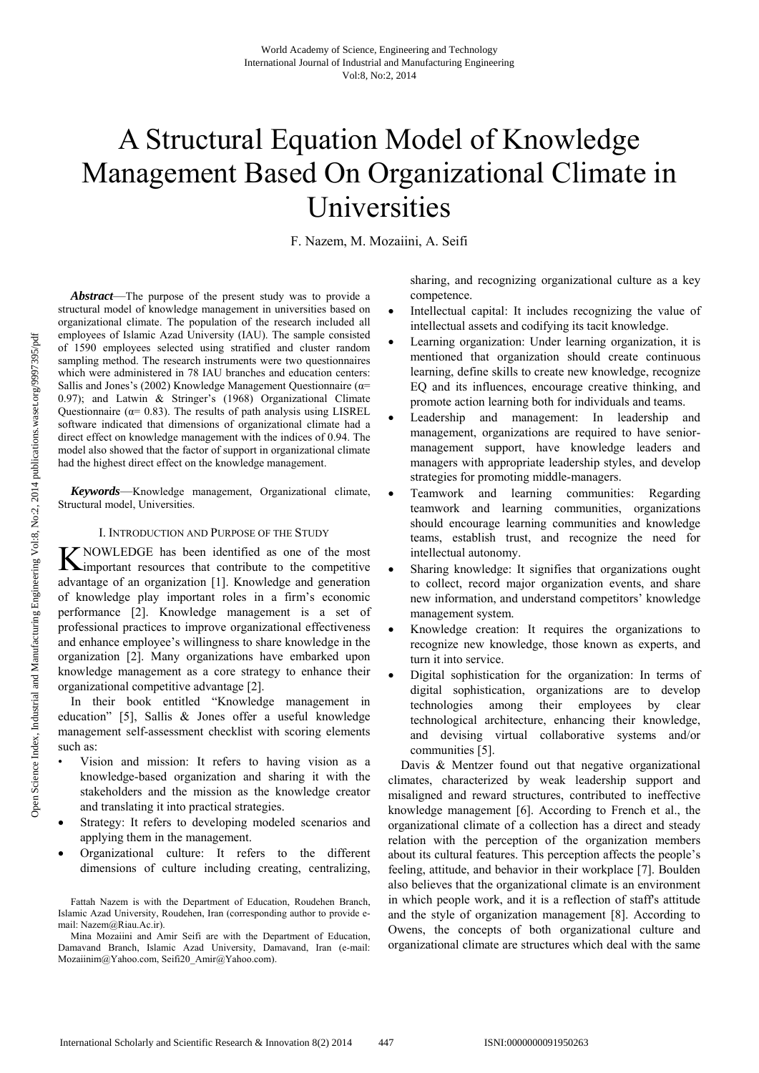# A Structural Equation Model of Knowledge Management Based On Organizational Climate in Universities

F. Nazem, M. Mozaiini, A. Seifi

*Abstract*—The purpose of the present study was to provide a structural model of knowledge management in universities based on organizational climate. The population of the research included all employees of Islamic Azad University (IAU). The sample consisted of 1590 employees selected using stratified and cluster random sampling method. The research instruments were two questionnaires which were administered in 78 IAU branches and education centers: Sallis and Jones's (2002) Knowledge Management Questionnaire ( $\alpha$ = 0.97); and Latwin & Stringer's (1968) Organizational Climate Questionnaire ( $\alpha$ = 0.83). The results of path analysis using LISREL software indicated that dimensions of organizational climate had a direct effect on knowledge management with the indices of 0.94. The model also showed that the factor of support in organizational climate had the highest direct effect on the knowledge management.

*Keywords*—Knowledge management, Organizational climate, Structural model, Universities.

### I. INTRODUCTION AND PURPOSE OF THE STUDY

KNOWLEDGE has been identified as one of the most<br> **K**important resources that contribute to the competitive important resources that contribute to the competitive advantage of an organization [1]. Knowledge and generation of knowledge play important roles in a firm's economic performance [2]. Knowledge management is a set of professional practices to improve organizational effectiveness and enhance employee's willingness to share knowledge in the organization [2]. Many organizations have embarked upon knowledge management as a core strategy to enhance their organizational competitive advantage [2].

In their book entitled "Knowledge management in education" [5], Sallis & Jones offer a useful knowledge management self-assessment checklist with scoring elements such as:

- Vision and mission: It refers to having vision as a knowledge-based organization and sharing it with the stakeholders and the mission as the knowledge creator and translating it into practical strategies.
- Strategy: It refers to developing modeled scenarios and applying them in the management.
- Organizational culture: It refers to the different dimensions of culture including creating, centralizing,

sharing, and recognizing organizational culture as a key competence.

- Intellectual capital: It includes recognizing the value of intellectual assets and codifying its tacit knowledge.
- Learning organization: Under learning organization, it is mentioned that organization should create continuous learning, define skills to create new knowledge, recognize EQ and its influences, encourage creative thinking, and promote action learning both for individuals and teams.
- Leadership and management: In leadership and management, organizations are required to have seniormanagement support, have knowledge leaders and managers with appropriate leadership styles, and develop strategies for promoting middle-managers.
- Teamwork and learning communities: Regarding teamwork and learning communities, organizations should encourage learning communities and knowledge teams, establish trust, and recognize the need for intellectual autonomy.
- Sharing knowledge: It signifies that organizations ought to collect, record major organization events, and share new information, and understand competitors' knowledge management system.
- Knowledge creation: It requires the organizations to recognize new knowledge, those known as experts, and turn it into service.
- Digital sophistication for the organization: In terms of digital sophistication, organizations are to develop technologies among their employees by clear technological architecture, enhancing their knowledge, and devising virtual collaborative systems and/or communities [5].

Davis & Mentzer found out that negative organizational climates, characterized by weak leadership support and misaligned and reward structures, contributed to ineffective knowledge management [6]. According to French et al., the organizational climate of a collection has a direct and steady relation with the perception of the organization members about its cultural features. This perception affects the people's feeling, attitude, and behavior in their workplace [7]. Boulden also believes that the organizational climate is an environment in which people work, and it is a reflection of staff's attitude and the style of organization management [8]. According to Owens, the concepts of both organizational culture and organizational climate are structures which deal with the same

Fattah Nazem is with the Department of Education, Roudehen Branch, Islamic Azad University, Roudehen, Iran (corresponding author to provide email: Nazem@Riau.Ac.ir).

Mina Mozaiini and Amir Seifi are with the Department of Education, Damavand Branch, Islamic Azad University, Damavand, Iran (e-mail: Mozaiinim@Yahoo.com, Seifi20\_Amir@Yahoo.com).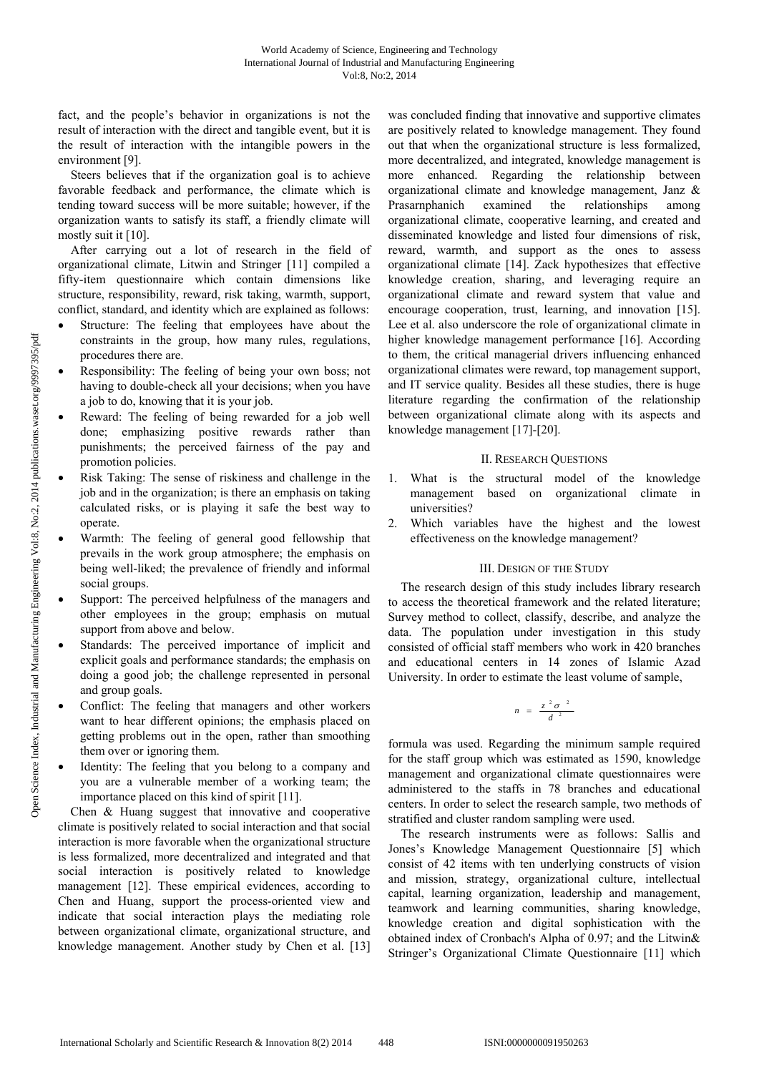fact, and the people's behavior in organizations is not the result of interaction with the direct and tangible event, but it is the result of interaction with the intangible powers in the environment [9].

Steers believes that if the organization goal is to achieve favorable feedback and performance, the climate which is tending toward success will be more suitable; however, if the organization wants to satisfy its staff, a friendly climate will mostly suit it [10].

After carrying out a lot of research in the field of organizational climate, Litwin and Stringer [11] compiled a fifty-item questionnaire which contain dimensions like structure, responsibility, reward, risk taking, warmth, support, conflict, standard, and identity which are explained as follows:

- Structure: The feeling that employees have about the constraints in the group, how many rules, regulations, procedures there are.
- Responsibility: The feeling of being your own boss; not having to double-check all your decisions; when you have a job to do, knowing that it is your job.
- Reward: The feeling of being rewarded for a job well done; emphasizing positive rewards rather than punishments; the perceived fairness of the pay and promotion policies.
- Risk Taking: The sense of riskiness and challenge in the job and in the organization; is there an emphasis on taking calculated risks, or is playing it safe the best way to operate.
- Warmth: The feeling of general good fellowship that prevails in the work group atmosphere; the emphasis on being well-liked; the prevalence of friendly and informal social groups.
- Support: The perceived helpfulness of the managers and other employees in the group; emphasis on mutual support from above and below.
- Standards: The perceived importance of implicit and explicit goals and performance standards; the emphasis on doing a good job; the challenge represented in personal and group goals.
- Conflict: The feeling that managers and other workers want to hear different opinions; the emphasis placed on getting problems out in the open, rather than smoothing them over or ignoring them.
- Identity: The feeling that you belong to a company and you are a vulnerable member of a working team; the importance placed on this kind of spirit [11].

Chen & Huang suggest that innovative and cooperative climate is positively related to social interaction and that social interaction is more favorable when the organizational structure is less formalized, more decentralized and integrated and that social interaction is positively related to knowledge management [12]. These empirical evidences, according to Chen and Huang, support the process-oriented view and indicate that social interaction plays the mediating role between organizational climate, organizational structure, and knowledge management. Another study by Chen et al. [13]

was concluded finding that innovative and supportive climates are positively related to knowledge management. They found out that when the organizational structure is less formalized, more decentralized, and integrated, knowledge management is more enhanced. Regarding the relationship between organizational climate and knowledge management, Janz & Prasarnphanich examined the relationships among organizational climate, cooperative learning, and created and disseminated knowledge and listed four dimensions of risk, reward, warmth, and support as the ones to assess organizational climate [14]. Zack hypothesizes that effective knowledge creation, sharing, and leveraging require an organizational climate and reward system that value and encourage cooperation, trust, learning, and innovation [15]. Lee et al. also underscore the role of organizational climate in higher knowledge management performance [16]. According to them, the critical managerial drivers influencing enhanced organizational climates were reward, top management support, and IT service quality. Besides all these studies, there is huge literature regarding the confirmation of the relationship between organizational climate along with its aspects and knowledge management [17]-[20].

## II. RESEARCH QUESTIONS

- 1. What is the structural model of the knowledge management based on organizational climate in universities?
- 2. Which variables have the highest and the lowest effectiveness on the knowledge management?

# III. DESIGN OF THE STUDY

The research design of this study includes library research to access the theoretical framework and the related literature; Survey method to collect, classify, describe, and analyze the data. The population under investigation in this study consisted of official staff members who work in 420 branches and educational centers in 14 zones of Islamic Azad University. In order to estimate the least volume of sample,

$$
n = \frac{z^2 \sigma^2}{d^2}
$$

formula was used. Regarding the minimum sample required for the staff group which was estimated as 1590, knowledge management and organizational climate questionnaires were administered to the staffs in 78 branches and educational centers. In order to select the research sample, two methods of stratified and cluster random sampling were used.

The research instruments were as follows: Sallis and Jones's Knowledge Management Questionnaire [5] which consist of 42 items with ten underlying constructs of vision and mission, strategy, organizational culture, intellectual capital, learning organization, leadership and management, teamwork and learning communities, sharing knowledge, knowledge creation and digital sophistication with the obtained index of Cronbach's Alpha of 0.97; and the Litwin& Stringer's Organizational Climate Questionnaire [11] which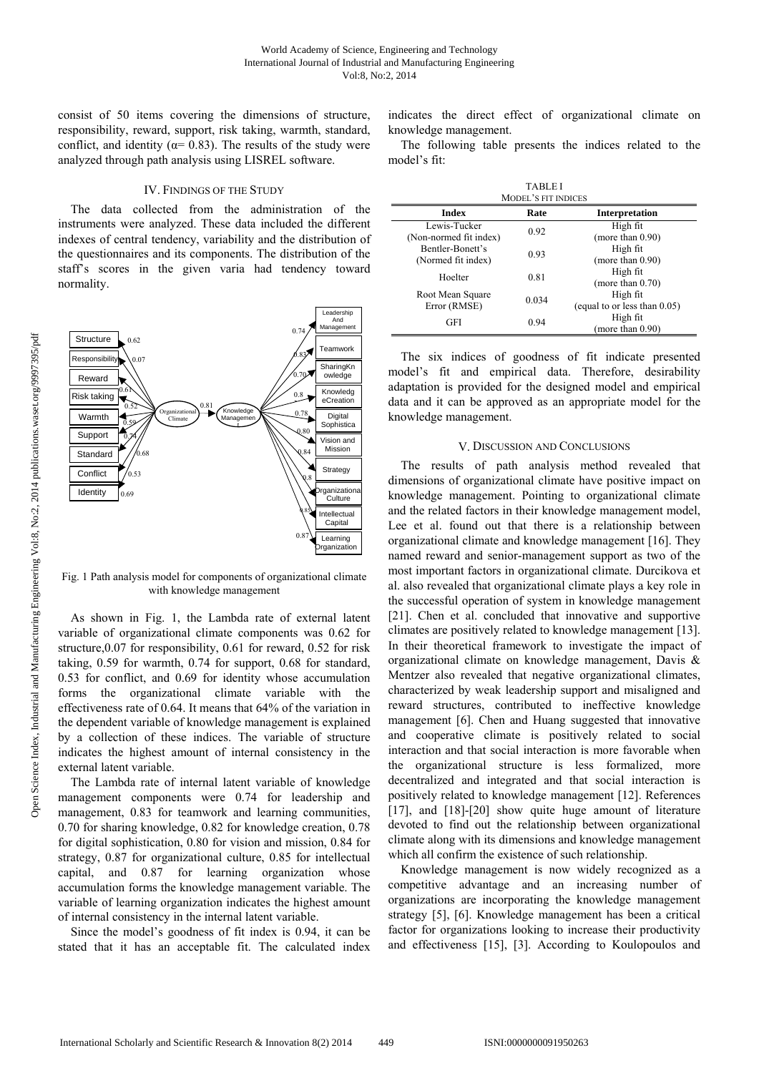consist of 50 items covering the dimensions of structure, responsibility, reward, support, risk taking, warmth, standard, conflict, and identity ( $\alpha$ = 0.83). The results of the study were analyzed through path analysis using LISREL software.

## IV. FINDINGS OF THE STUDY

The data collected from the administration of the instruments were analyzed. These data included the different indexes of central tendency, variability and the distribution of the questionnaires and its components. The distribution of the staff's scores in the given varia had tendency toward normality.



Fig. 1 Path analysis model for components of organizational climate with knowledge management

As shown in Fig. 1, the Lambda rate of external latent variable of organizational climate components was 0.62 for structure,0.07 for responsibility, 0.61 for reward, 0.52 for risk taking, 0.59 for warmth, 0.74 for support, 0.68 for standard, 0.53 for conflict, and 0.69 for identity whose accumulation forms the organizational climate variable with the effectiveness rate of 0.64. It means that 64% of the variation in the dependent variable of knowledge management is explained by a collection of these indices. The variable of structure indicates the highest amount of internal consistency in the external latent variable.

The Lambda rate of internal latent variable of knowledge management components were 0.74 for leadership and management, 0.83 for teamwork and learning communities, 0.70 for sharing knowledge, 0.82 for knowledge creation, 0.78 for digital sophistication, 0.80 for vision and mission, 0.84 for strategy, 0.87 for organizational culture, 0.85 for intellectual capital, and 0.87 for learning organization whose accumulation forms the knowledge management variable. The variable of learning organization indicates the highest amount of internal consistency in the internal latent variable.

Since the model's goodness of fit index is 0.94, it can be stated that it has an acceptable fit. The calculated index indicates the direct effect of organizational climate on knowledge management.

The following table presents the indices related to the model's fit:

| <b>TABLEI</b><br><b>MODEL'S FIT INDICES</b> |       |                                             |
|---------------------------------------------|-------|---------------------------------------------|
| <b>Index</b>                                | Rate  | Interpretation                              |
| Lewis-Tucker<br>(Non-normed fit index)      | 0.92  | High fit<br>(more than $0.90$ )             |
| Bentler-Bonett's<br>(Normed fit index)      | 0.93  | High fit<br>(more than $0.90$ )             |
| Hoelter                                     | 0.81  | High fit<br>(more than $0.70$ )             |
| Root Mean Square<br>Error (RMSE)            | 0.034 | High fit<br>(equal to or less than $0.05$ ) |
| GFI                                         | 0.94  | High fit<br>(more than $0.90$ )             |

The six indices of goodness of fit indicate presented model's fit and empirical data. Therefore, desirability adaptation is provided for the designed model and empirical data and it can be approved as an appropriate model for the knowledge management.

#### V. DISCUSSION AND CONCLUSIONS

The results of path analysis method revealed that dimensions of organizational climate have positive impact on knowledge management. Pointing to organizational climate and the related factors in their knowledge management model, Lee et al. found out that there is a relationship between organizational climate and knowledge management [16]. They named reward and senior-management support as two of the most important factors in organizational climate. Durcikova et al. also revealed that organizational climate plays a key role in the successful operation of system in knowledge management [21]. Chen et al. concluded that innovative and supportive climates are positively related to knowledge management [13]. In their theoretical framework to investigate the impact of organizational climate on knowledge management, Davis & Mentzer also revealed that negative organizational climates, characterized by weak leadership support and misaligned and reward structures, contributed to ineffective knowledge management [6]. Chen and Huang suggested that innovative and cooperative climate is positively related to social interaction and that social interaction is more favorable when the organizational structure is less formalized, more decentralized and integrated and that social interaction is positively related to knowledge management [12]. References [17], and [18]-[20] show quite huge amount of literature devoted to find out the relationship between organizational climate along with its dimensions and knowledge management which all confirm the existence of such relationship.

Knowledge management is now widely recognized as a competitive advantage and an increasing number of organizations are incorporating the knowledge management strategy [5], [6]. Knowledge management has been a critical factor for organizations looking to increase their productivity and effectiveness [15], [3]. According to Koulopoulos and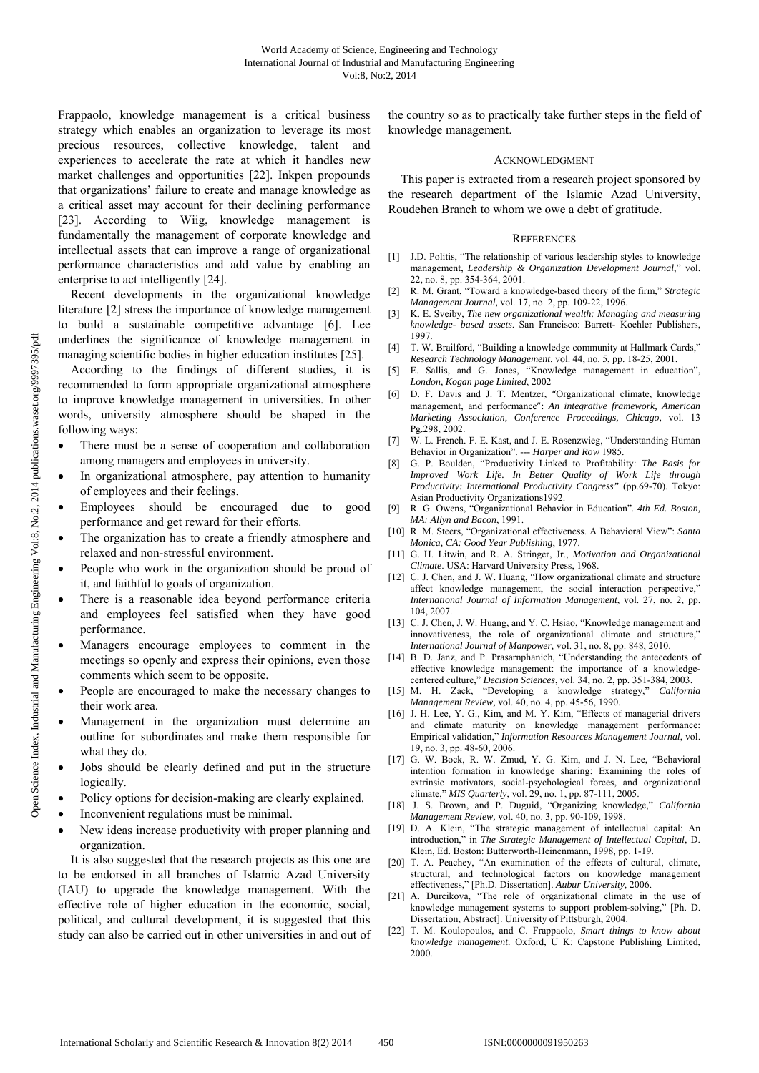Frappaolo, knowledge management is a critical business strategy which enables an organization to leverage its most precious resources, collective knowledge, talent and experiences to accelerate the rate at which it handles new market challenges and opportunities [22]. Inkpen propounds that organizations' failure to create and manage knowledge as a critical asset may account for their declining performance [23]. According to Wiig, knowledge management is fundamentally the management of corporate knowledge and intellectual assets that can improve a range of organizational performance characteristics and add value by enabling an enterprise to act intelligently [24].

Recent developments in the organizational knowledge literature [2] stress the importance of knowledge management to build a sustainable competitive advantage [6]. Lee underlines the significance of knowledge management in managing scientific bodies in higher education institutes [25].

According to the findings of different studies, it is recommended to form appropriate organizational atmosphere to improve knowledge management in universities. In other words, university atmosphere should be shaped in the following ways:

- There must be a sense of cooperation and collaboration among managers and employees in university.
- In organizational atmosphere, pay attention to humanity of employees and their feelings.
- Employees should be encouraged due to good performance and get reward for their efforts.
- The organization has to create a friendly atmosphere and relaxed and non-stressful environment.
- People who work in the organization should be proud of it, and faithful to goals of organization.
- There is a reasonable idea beyond performance criteria and employees feel satisfied when they have good performance.
- Managers encourage employees to comment in the meetings so openly and express their opinions, even those comments which seem to be opposite.
- People are encouraged to make the necessary changes to their work area.
- Management in the organization must determine an outline for subordinates and make them responsible for what they do.
- Jobs should be clearly defined and put in the structure logically.
- Policy options for decision-making are clearly explained.
- Inconvenient regulations must be minimal.
- New ideas increase productivity with proper planning and organization.

It is also suggested that the research projects as this one are to be endorsed in all branches of Islamic Azad University (IAU) to upgrade the knowledge management. With the effective role of higher education in the economic, social, political, and cultural development, it is suggested that this study can also be carried out in other universities in and out of the country so as to practically take further steps in the field of knowledge management.

### ACKNOWLEDGMENT

This paper is extracted from a research project sponsored by the research department of the Islamic Azad University, Roudehen Branch to whom we owe a debt of gratitude.

#### **REFERENCES**

- [1] J.D. Politis, "The relationship of various leadership styles to knowledge management, *Leadership & Organization Development Journal*," vol. 22, no. 8, pp. 354-364, 2001.
- [2] R. M. Grant, "Toward a knowledge-based theory of the firm," *Strategic Management Journal,* vol. 17, no. 2, pp. 109-22, 1996.
- [3] K. E. Sveiby, *The new organizational wealth: Managing and measuring knowledge- based assets*. San Francisco: Barrett- Koehler Publishers, 1997.
- [4] T. W. Brailford, "Building a knowledge community at Hallmark Cards," *Research Technology Management*. vol. 44, no. 5, pp. 18-25, 2001.
- [5] E. Sallis, and G. Jones, "Knowledge management in education", *London, Kogan page Limited*, 2002
- [6] D. F. Davis and J. T. Mentzer, "Organizational climate, knowledge management, and performance": *An integrative framework, American Marketing Association, Conference Proceedings, Chicago,* vol. 13 Pg.298, 2002.
- [7] W. L. French. F. E. Kast, and J. E. Rosenzwieg, "Understanding Human Behavior in Organization". --- *Harper and Row* 1985.
- [8] G. P. Boulden, "Productivity Linked to Profitability: *The Basis for Improved Work Life. In Better Quality of Work Life through Productivity: International Productivity Congress"* (pp.69-70). Tokyo: Asian Productivity Organizations1992.
- [9] R. G. Owens, "Organizational Behavior in Education". *4th Ed. Boston, MA: Allyn and Bacon*, 1991.
- [10] R. M. Steers, "Organizational effectiveness. A Behavioral View": *Santa Monica, CA: Good Year Publishing*, 1977.
- [11] G. H. Litwin, and R. A. Stringer, Jr., *Motivation and Organizational Climate*. USA: Harvard University Press, 1968.
- [12] C. J. Chen, and J. W. Huang, "How organizational climate and structure affect knowledge management, the social interaction perspective," *International Journal of Information Management*, vol. 27, no. 2, pp. 104, 2007.
- [13] C. J. Chen, J. W. Huang, and Y. C. Hsiao, "Knowledge management and innovativeness, the role of organizational climate and structure," *International Journal of Manpower,* vol. 31, no. 8, pp. 848, 2010.
- [14] B. D. Janz, and P. Prasarnphanich, "Understanding the antecedents of effective knowledge management: the importance of a knowledgecentered culture," *Decision Sciences*, vol. 34, no. 2, pp. 351-384, 2003.
- [15] M. H. Zack, "Developing a knowledge strategy," *California Management Review,* vol. 40, no. 4, pp. 45-56, 1990.
- [16] J. H. Lee, Y. G., Kim, and M. Y. Kim, "Effects of managerial drivers and climate maturity on knowledge management performance: Empirical validation," *Information Resources Management Journal*, vol. 19, no. 3, pp. 48-60, 2006.
- [17] G. W. Bock, R. W. Zmud, Y. G. Kim, and J. N. Lee, "Behavioral intention formation in knowledge sharing: Examining the roles of extrinsic motivators, social-psychological forces, and organizational climate," *MIS Quarterly*, vol. 29, no. 1, pp. 87-111, 2005.
- [18] J. S. Brown, and P. Duguid, "Organizing knowledge," *California Management Review,* vol. 40, no. 3, pp. 90-109, 1998.
- [19] D. A. Klein, "The strategic management of intellectual capital: An introduction," in *The Strategic Management of Intellectual Capital*, D. Klein, Ed. Boston: Butterworth-Heinenmann, 1998, pp. 1-19.
- [20] T. A. Peachey, "An examination of the effects of cultural, climate, structural, and technological factors on knowledge management effectiveness," [Ph.D. Dissertation]. *Aubur University*, 2006.
- [21] A. Durcikova, "The role of organizational climate in the use of knowledge management systems to support problem-solving," [Ph. D. Dissertation, Abstract]. University of Pittsburgh, 2004.
- [22] T. M. Koulopoulos, and C. Frappaolo, *Smart things to know about knowledge management.* Oxford, U K: Capstone Publishing Limited, 2000.